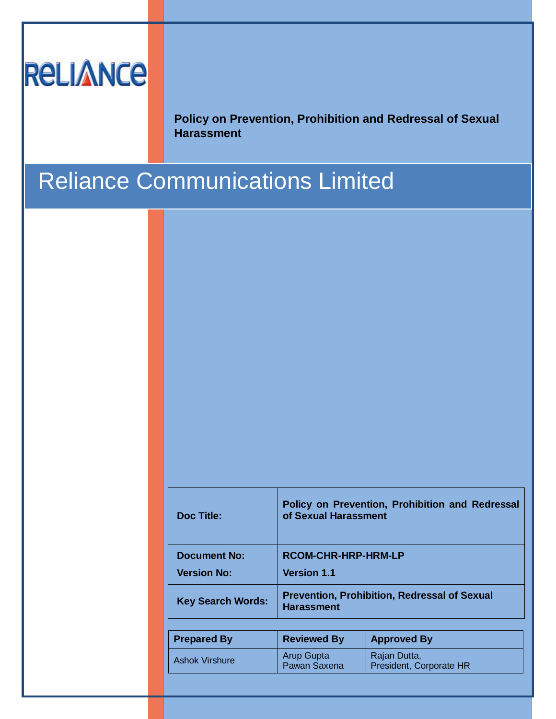# **RELIANCE**

**Policy on Prevention, Prohibition and Redressal of Sexual Harassment**

## Reliance Communications Limited

| <b>Doc Title:</b>        | Policy on Prevention, Prohibition and Redressal<br>of Sexual Harassment  |                    |  |  |  |
|--------------------------|--------------------------------------------------------------------------|--------------------|--|--|--|
| <b>Document No:</b>      | RCOM-CHR-HRP-HRM-LP                                                      |                    |  |  |  |
| <b>Version No:</b>       | <b>Version 1.1</b>                                                       |                    |  |  |  |
| <b>Key Search Words:</b> | <b>Prevention, Prohibition, Redressal of Sexual</b><br><b>Harassment</b> |                    |  |  |  |
|                          |                                                                          |                    |  |  |  |
| <b>Prepared By</b>       | <b>Reviewed By</b>                                                       | <b>Approved By</b> |  |  |  |
| <b>Ashok Virshure</b>    | <b>Arup Gupta</b>                                                        | Rajan Dutta,       |  |  |  |

President, Corporate HR

Pawan Saxena

**Issued By Issue Date Reason for Issue**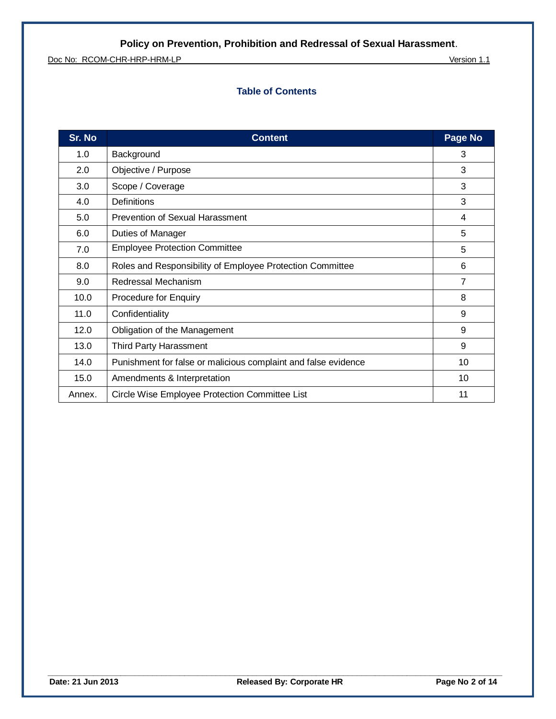Doc No: RCOM-CHR-HRP-HRM-LP Version 1.1

## **Table of Contents**

| Sr. No | <b>Content</b>                                                 | Page No |
|--------|----------------------------------------------------------------|---------|
| 1.0    | Background                                                     | 3       |
| 2.0    | Objective / Purpose                                            | 3       |
| 3.0    | Scope / Coverage                                               | 3       |
| 4.0    | <b>Definitions</b>                                             | 3       |
| 5.0    | Prevention of Sexual Harassment                                | 4       |
| 6.0    | <b>Duties of Manager</b>                                       | 5       |
| 7.0    | <b>Employee Protection Committee</b>                           | 5       |
| 8.0    | Roles and Responsibility of Employee Protection Committee      | 6       |
| 9.0    | Redressal Mechanism                                            | 7       |
| 10.0   | <b>Procedure for Enquiry</b>                                   | 8       |
| 11.0   | Confidentiality                                                | 9       |
| 12.0   | Obligation of the Management                                   | 9       |
| 13.0   | <b>Third Party Harassment</b>                                  | 9       |
| 14.0   | Punishment for false or malicious complaint and false evidence | 10      |
| 15.0   | Amendments & Interpretation                                    | 10      |
| Annex. | Circle Wise Employee Protection Committee List                 | 11      |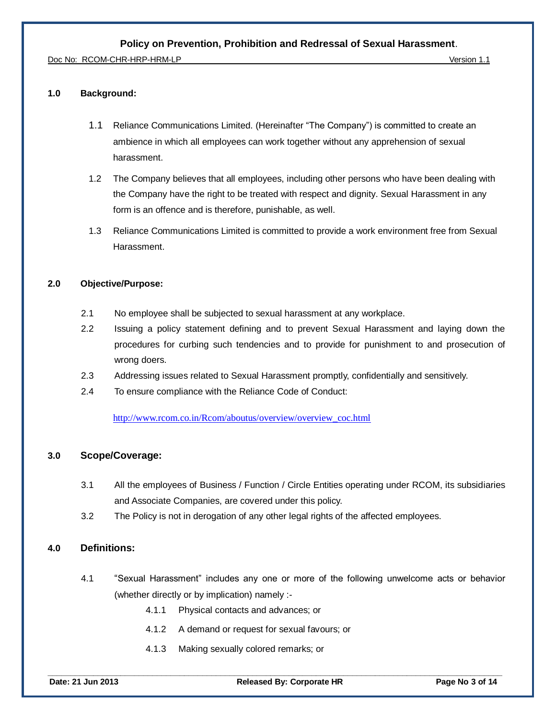Doc No: RCOM-CHR-HRP-HRM-LP Version 1.1

#### **1.0 Background:**

- 1.1 Reliance Communications Limited. (Hereinafter "The Company") is committed to create an ambience in which all employees can work together without any apprehension of sexual harassment.
- 1.2 The Company believes that all employees, including other persons who have been dealing with the Company have the right to be treated with respect and dignity. Sexual Harassment in any form is an offence and is therefore, punishable, as well.
- 1.3 Reliance Communications Limited is committed to provide a work environment free from Sexual Harassment.

#### **2.0 Objective/Purpose:**

- 2.1 No employee shall be subjected to sexual harassment at any workplace.
- 2.2 Issuing a policy statement defining and to prevent Sexual Harassment and laying down the procedures for curbing such tendencies and to provide for punishment to and prosecution of wrong doers.
- 2.3 Addressing issues related to Sexual Harassment promptly, confidentially and sensitively.
- 2.4 To ensure compliance with the Reliance Code of Conduct:

[http://www.rcom.co.in/Rcom/aboutus/overview/overview\\_coc.html](http://www.rcom.co.in/Rcom/aboutus/overview/overview_coc.html)

#### **3.0 Scope/Coverage:**

- 3.1 All the employees of Business / Function / Circle Entities operating under RCOM, its subsidiaries and Associate Companies, are covered under this policy.
- 3.2 The Policy is not in derogation of any other legal rights of the affected employees.

## **4.0 Definitions:**

- 4.1 "Sexual Harassment" includes any one or more of the following unwelcome acts or behavior (whether directly or by implication) namely :-
	- 4.1.1 Physical contacts and advances; or
	- 4.1.2 A demand or request for sexual favours; or
	- 4.1.3 Making sexually colored remarks; or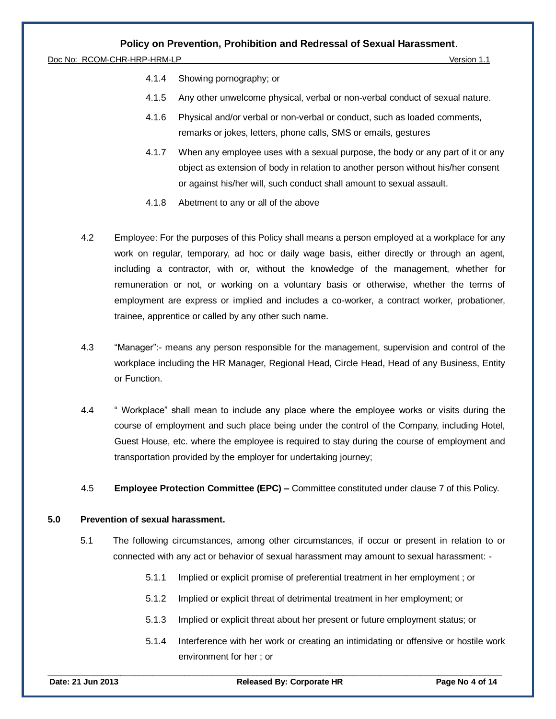Doc No: RCOM-CHR-HRP-HRM-LP Version 1.1

- 4.1.4 Showing pornography; or
- 4.1.5 Any other unwelcome physical, verbal or non-verbal conduct of sexual nature.
- 4.1.6 Physical and/or verbal or non-verbal or conduct, such as loaded comments, remarks or jokes, letters, phone calls, SMS or emails, gestures
- 4.1.7 When any employee uses with a sexual purpose, the body or any part of it or any object as extension of body in relation to another person without his/her consent or against his/her will, such conduct shall amount to sexual assault.
- 4.1.8 Abetment to any or all of the above
- 4.2 Employee: For the purposes of this Policy shall means a person employed at a workplace for any work on regular, temporary, ad hoc or daily wage basis, either directly or through an agent, including a contractor, with or, without the knowledge of the management, whether for remuneration or not, or working on a voluntary basis or otherwise, whether the terms of employment are express or implied and includes a co-worker, a contract worker, probationer, trainee, apprentice or called by any other such name.
- 4.3 "Manager":- means any person responsible for the management, supervision and control of the workplace including the HR Manager, Regional Head, Circle Head, Head of any Business, Entity or Function.
- 4.4 " Workplace" shall mean to include any place where the employee works or visits during the course of employment and such place being under the control of the Company, including Hotel, Guest House, etc. where the employee is required to stay during the course of employment and transportation provided by the employer for undertaking journey;
- 4.5 **Employee Protection Committee (EPC) –** Committee constituted under clause 7 of this Policy.

#### **5.0 Prevention of sexual harassment.**

- 5.1 The following circumstances, among other circumstances, if occur or present in relation to or connected with any act or behavior of sexual harassment may amount to sexual harassment: -
	- 5.1.1 Implied or explicit promise of preferential treatment in her employment ; or
	- 5.1.2 Implied or explicit threat of detrimental treatment in her employment; or
	- 5.1.3 Implied or explicit threat about her present or future employment status; or
	- 5.1.4 Interference with her work or creating an intimidating or offensive or hostile work environment for her ; or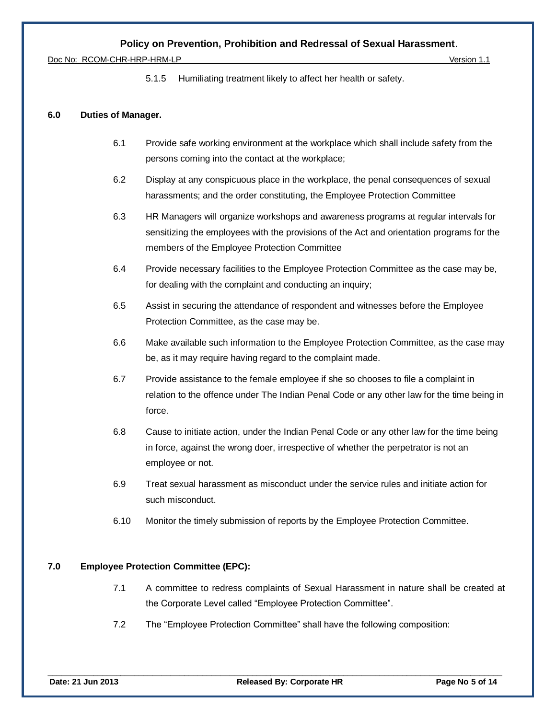Doc No: RCOM-CHR-HRP-HRM-LP Version 1.1

5.1.5 Humiliating treatment likely to affect her health or safety.

#### **6.0 Duties of Manager.**

- 6.1 Provide safe working environment at the workplace which shall include safety from the persons coming into the contact at the workplace;
- 6.2 Display at any conspicuous place in the workplace, the penal consequences of sexual harassments; and the order constituting, the Employee Protection Committee
- 6.3 HR Managers will organize workshops and awareness programs at regular intervals for sensitizing the employees with the provisions of the Act and orientation programs for the members of the Employee Protection Committee
- 6.4 Provide necessary facilities to the Employee Protection Committee as the case may be, for dealing with the complaint and conducting an inquiry;
- 6.5 Assist in securing the attendance of respondent and witnesses before the Employee Protection Committee, as the case may be.
- 6.6 Make available such information to the Employee Protection Committee, as the case may be, as it may require having regard to the complaint made.
- 6.7 Provide assistance to the female employee if she so chooses to file a complaint in relation to the offence under The Indian Penal Code or any other law for the time being in force.
- 6.8 Cause to initiate action, under the Indian Penal Code or any other law for the time being in force, against the wrong doer, irrespective of whether the perpetrator is not an employee or not.
- 6.9 Treat sexual harassment as misconduct under the service rules and initiate action for such misconduct.
- 6.10 Monitor the timely submission of reports by the Employee Protection Committee.

#### **7.0 Employee Protection Committee (EPC):**

- 7.1 A committee to redress complaints of Sexual Harassment in nature shall be created at the Corporate Level called "Employee Protection Committee".
- 7.2 The "Employee Protection Committee" shall have the following composition: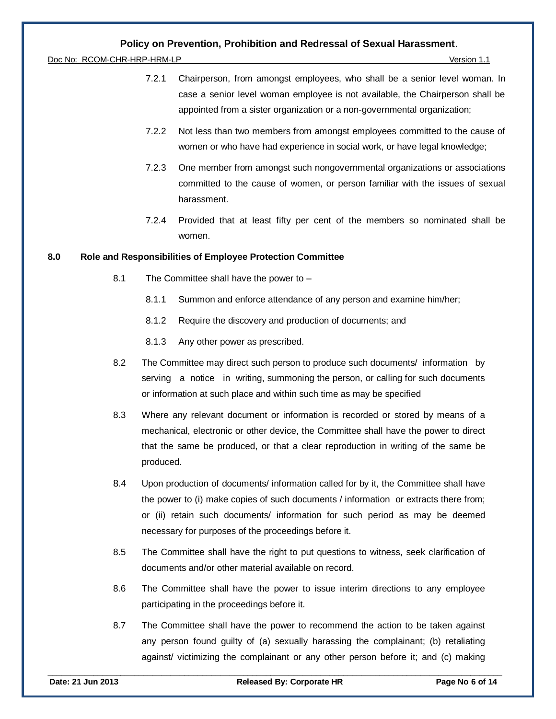Doc No: RCOM-CHR-HRP-HRM-LP Version 1.1

- 7.2.1 Chairperson, from amongst employees, who shall be a senior level woman. In case a senior level woman employee is not available, the Chairperson shall be appointed from a sister organization or a non-governmental organization;
- 7.2.2 Not less than two members from amongst employees committed to the cause of women or who have had experience in social work, or have legal knowledge;
- 7.2.3 One member from amongst such nongovernmental organizations or associations committed to the cause of women, or person familiar with the issues of sexual harassment.
- 7.2.4 Provided that at least fifty per cent of the members so nominated shall be women.

#### **8.0 Role and Responsibilities of Employee Protection Committee**

- 8.1 The Committee shall have the power to
	- 8.1.1 Summon and enforce attendance of any person and examine him/her;
	- 8.1.2 Require the discovery and production of documents; and
	- 8.1.3 Any other power as prescribed.
- 8.2 The Committee may direct such person to produce such documents/ information by serving a notice in writing, summoning the person, or calling for such documents or information at such place and within such time as may be specified
- 8.3 Where any relevant document or information is recorded or stored by means of a mechanical, electronic or other device, the Committee shall have the power to direct that the same be produced, or that a clear reproduction in writing of the same be produced.
- 8.4 Upon production of documents/ information called for by it, the Committee shall have the power to (i) make copies of such documents / information or extracts there from; or (ii) retain such documents/ information for such period as may be deemed necessary for purposes of the proceedings before it.
- 8.5 The Committee shall have the right to put questions to witness, seek clarification of documents and/or other material available on record.
- 8.6 The Committee shall have the power to issue interim directions to any employee participating in the proceedings before it.
- 8.7 The Committee shall have the power to recommend the action to be taken against any person found guilty of (a) sexually harassing the complainant; (b) retaliating against/ victimizing the complainant or any other person before it; and (c) making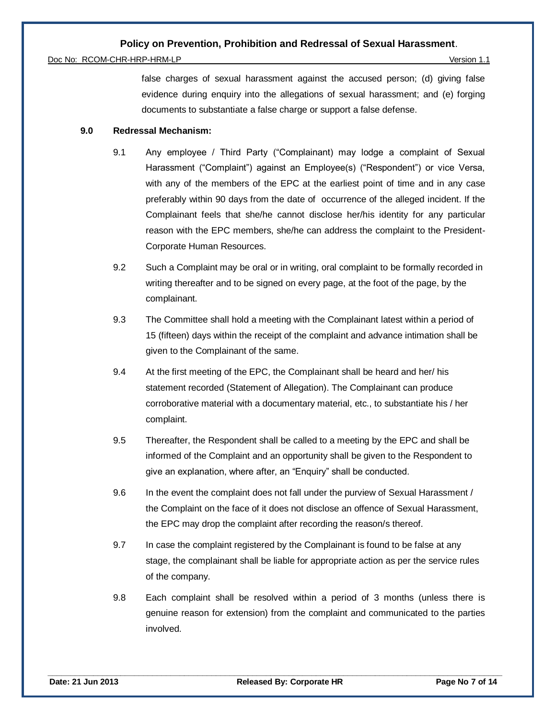#### Doc No: RCOM-CHR-HRP-HRM-LP Version 1.1

false charges of sexual harassment against the accused person; (d) giving false evidence during enquiry into the allegations of sexual harassment; and (e) forging documents to substantiate a false charge or support a false defense.

#### **9.0 Redressal Mechanism:**

- 9.1 Any employee / Third Party ("Complainant) may lodge a complaint of Sexual Harassment ("Complaint") against an Employee(s) ("Respondent") or vice Versa, with any of the members of the EPC at the earliest point of time and in any case preferably within 90 days from the date of occurrence of the alleged incident. If the Complainant feels that she/he cannot disclose her/his identity for any particular reason with the EPC members, she/he can address the complaint to the President-Corporate Human Resources.
- 9.2 Such a Complaint may be oral or in writing, oral complaint to be formally recorded in writing thereafter and to be signed on every page, at the foot of the page, by the complainant.
- 9.3 The Committee shall hold a meeting with the Complainant latest within a period of 15 (fifteen) days within the receipt of the complaint and advance intimation shall be given to the Complainant of the same.
- 9.4 At the first meeting of the EPC, the Complainant shall be heard and her/ his statement recorded (Statement of Allegation). The Complainant can produce corroborative material with a documentary material, etc., to substantiate his / her complaint.
- 9.5 Thereafter, the Respondent shall be called to a meeting by the EPC and shall be informed of the Complaint and an opportunity shall be given to the Respondent to give an explanation, where after, an "Enquiry" shall be conducted.
- 9.6 In the event the complaint does not fall under the purview of Sexual Harassment / the Complaint on the face of it does not disclose an offence of Sexual Harassment, the EPC may drop the complaint after recording the reason/s thereof.
- 9.7 In case the complaint registered by the Complainant is found to be false at any stage, the complainant shall be liable for appropriate action as per the service rules of the company.
- 9.8 Each complaint shall be resolved within a period of 3 months (unless there is genuine reason for extension) from the complaint and communicated to the parties involved.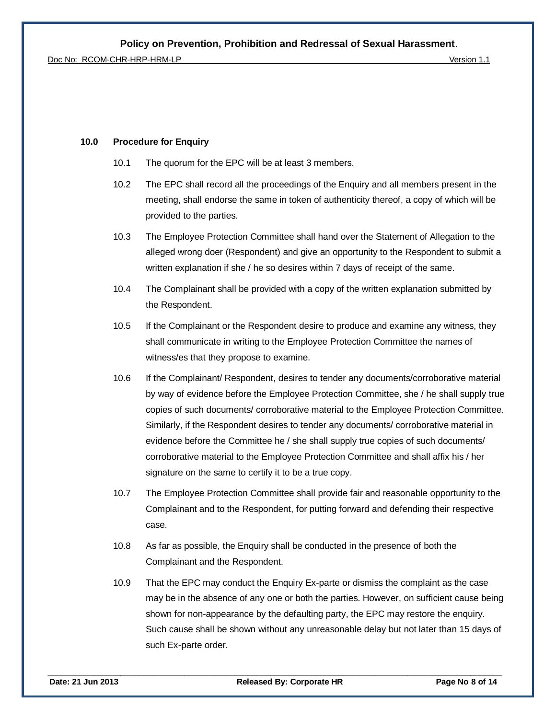Doc No: RCOM-CHR-HRP-HRM-LP Version 1.1

#### **10.0 Procedure for Enquiry**

- 10.1 The quorum for the EPC will be at least 3 members.
- 10.2 The EPC shall record all the proceedings of the Enquiry and all members present in the meeting, shall endorse the same in token of authenticity thereof, a copy of which will be provided to the parties.
- 10.3 The Employee Protection Committee shall hand over the Statement of Allegation to the alleged wrong doer (Respondent) and give an opportunity to the Respondent to submit a written explanation if she / he so desires within 7 days of receipt of the same.
- 10.4 The Complainant shall be provided with a copy of the written explanation submitted by the Respondent.
- 10.5 If the Complainant or the Respondent desire to produce and examine any witness, they shall communicate in writing to the Employee Protection Committee the names of witness/es that they propose to examine.
- 10.6 If the Complainant/ Respondent, desires to tender any documents/corroborative material by way of evidence before the Employee Protection Committee, she / he shall supply true copies of such documents/ corroborative material to the Employee Protection Committee. Similarly, if the Respondent desires to tender any documents/ corroborative material in evidence before the Committee he / she shall supply true copies of such documents/ corroborative material to the Employee Protection Committee and shall affix his / her signature on the same to certify it to be a true copy.
- 10.7 The Employee Protection Committee shall provide fair and reasonable opportunity to the Complainant and to the Respondent, for putting forward and defending their respective case.
- 10.8 As far as possible, the Enquiry shall be conducted in the presence of both the Complainant and the Respondent.
- 10.9 That the EPC may conduct the Enquiry Ex-parte or dismiss the complaint as the case may be in the absence of any one or both the parties. However, on sufficient cause being shown for non-appearance by the defaulting party, the EPC may restore the enquiry. Such cause shall be shown without any unreasonable delay but not later than 15 days of such Ex-parte order.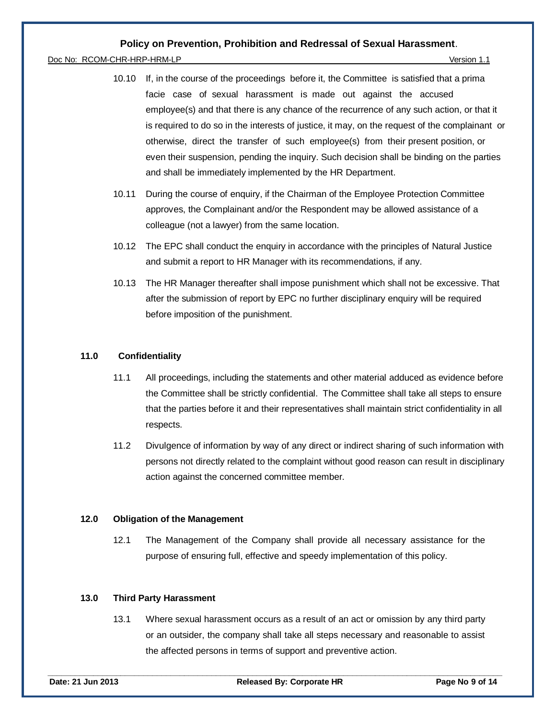#### Doc No: RCOM-CHR-HRP-HRM-LP Version 1.1

- 10.10 If, in the course of the proceedings before it, the Committee is satisfied that a prima facie case of sexual harassment is made out against the accused employee(s) and that there is any chance of the recurrence of any such action, or that it is required to do so in the interests of justice, it may, on the request of the complainant or otherwise, direct the transfer of such employee(s) from their present position, or even their suspension, pending the inquiry. Such decision shall be binding on the parties and shall be immediately implemented by the HR Department.
- 10.11 During the course of enquiry, if the Chairman of the Employee Protection Committee approves, the Complainant and/or the Respondent may be allowed assistance of a colleague (not a lawyer) from the same location.
- 10.12 The EPC shall conduct the enquiry in accordance with the principles of Natural Justice and submit a report to HR Manager with its recommendations, if any.
- 10.13 The HR Manager thereafter shall impose punishment which shall not be excessive. That after the submission of report by EPC no further disciplinary enquiry will be required before imposition of the punishment.

#### **11.0 Confidentiality**

- 11.1 All proceedings, including the statements and other material adduced as evidence before the Committee shall be strictly confidential. The Committee shall take all steps to ensure that the parties before it and their representatives shall maintain strict confidentiality in all respects.
- 11.2 Divulgence of information by way of any direct or indirect sharing of such information with persons not directly related to the complaint without good reason can result in disciplinary action against the concerned committee member.

#### **12.0 Obligation of the Management**

12.1 The Management of the Company shall provide all necessary assistance for the purpose of ensuring full, effective and speedy implementation of this policy.

#### **13.0 Third Party Harassment**

13.1 Where sexual harassment occurs as a result of an act or omission by any third party or an outsider, the company shall take all steps necessary and reasonable to assist the affected persons in terms of support and preventive action.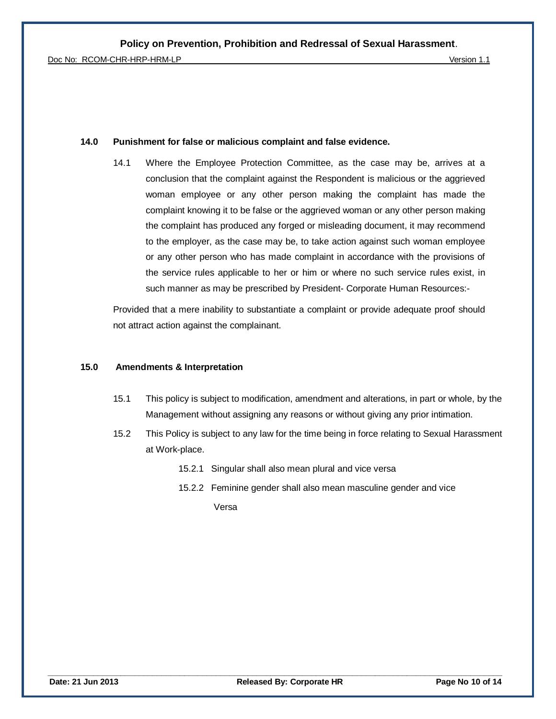#### **14.0 Punishment for false or malicious complaint and false evidence.**

14.1 Where the Employee Protection Committee, as the case may be, arrives at a conclusion that the complaint against the Respondent is malicious or the aggrieved woman employee or any other person making the complaint has made the complaint knowing it to be false or the aggrieved woman or any other person making the complaint has produced any forged or misleading document, it may recommend to the employer, as the case may be, to take action against such woman employee or any other person who has made complaint in accordance with the provisions of the service rules applicable to her or him or where no such service rules exist, in such manner as may be prescribed by President- Corporate Human Resources:-

Provided that a mere inability to substantiate a complaint or provide adequate proof should not attract action against the complainant.

#### **15.0 Amendments & Interpretation**

- 15.1 This policy is subject to modification, amendment and alterations, in part or whole, by the Management without assigning any reasons or without giving any prior intimation.
- 15.2 This Policy is subject to any law for the time being in force relating to Sexual Harassment at Work-place.
	- 15.2.1 Singular shall also mean plural and vice versa
	- 15.2.2 Feminine gender shall also mean masculine gender and vice

Versa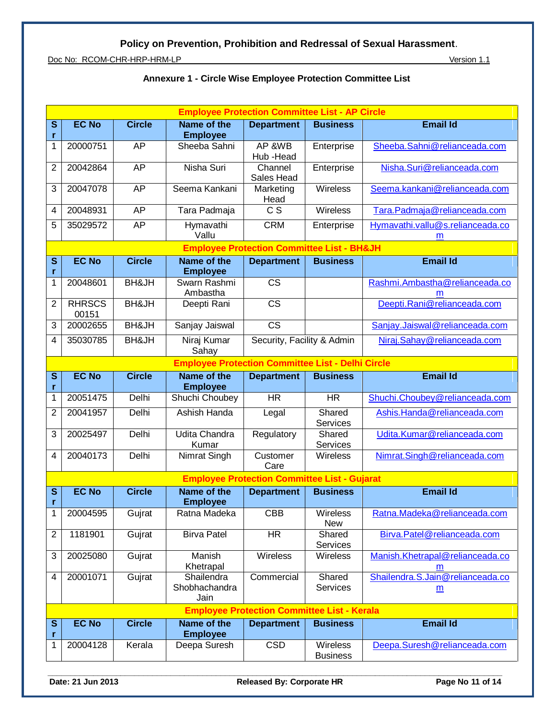Doc No: RCOM-CHR-HRP-HRM-LP Version 1.1

|                              | <b>Employee Protection Committee List - AP Circle</b> |                  |                                                          |                                                       |                             |                                       |  |  |
|------------------------------|-------------------------------------------------------|------------------|----------------------------------------------------------|-------------------------------------------------------|-----------------------------|---------------------------------------|--|--|
| S<br>r                       | <b>EC No</b>                                          | <b>Circle</b>    | <b>Name of the</b><br><b>Employee</b>                    | <b>Department</b>                                     | <b>Business</b>             | <b>Email Id</b>                       |  |  |
| 1                            | 20000751                                              | AP               | Sheeba Sahni                                             | AP &WB<br>Hub - Head                                  | Enterprise                  | Sheeba.Sahni@relianceada.com          |  |  |
| $\overline{2}$               | 20042864                                              | AP               | Nisha Suri                                               | Channel<br>Sales Head                                 | Enterprise                  | Nisha.Suri@relianceada.com            |  |  |
| 3                            | 20047078                                              | AP               | Seema Kankani                                            | Marketing<br>Head                                     | <b>Wireless</b>             | Seema.kankani@relianceada.com         |  |  |
| $\overline{4}$               | 20048931                                              | AP               | Tara Padmaja                                             | $\overline{c}$                                        | Wireless                    | Tara.Padmaja@relianceada.com          |  |  |
| 5                            | 35029572                                              | AP               | Hymavathi<br>Vallu                                       | <b>CRM</b>                                            | Enterprise                  | Hymavathi.vallu@s.relianceada.co<br>m |  |  |
|                              |                                                       |                  |                                                          | <b>Employee Protection Committee List - BH&amp;JH</b> |                             |                                       |  |  |
| $\mathbf{s}$                 | <b>EC No</b>                                          | <b>Circle</b>    | Name of the                                              | <b>Department</b>                                     | <b>Business</b>             | <b>Email Id</b>                       |  |  |
| r<br>1                       | 20048601                                              | <b>BH&amp;JH</b> | <b>Employee</b><br>Swarn Rashmi                          | <b>CS</b>                                             |                             | Rashmi.Ambastha@relianceada.co        |  |  |
|                              |                                                       |                  | Ambastha                                                 |                                                       |                             | m                                     |  |  |
| $\overline{2}$               | <b>RHRSCS</b><br>00151                                | BH&JH            | Deepti Rani                                              | <b>CS</b>                                             |                             | Deepti.Rani@relianceada.com           |  |  |
| 3                            | 20002655                                              | <b>BH&amp;JH</b> | Sanjay Jaiswal                                           | $\overline{\text{CS}}$                                |                             | Sanjay.Jaiswal@relianceada.com        |  |  |
| 4                            | 35030785                                              | <b>BH&amp;JH</b> | Niraj Kumar<br>Sahay                                     | Security, Facility & Admin                            |                             | Niraj.Sahay@relianceada.com           |  |  |
|                              |                                                       |                  | <b>Employee Protection Committee List - Delhi Circle</b> |                                                       |                             |                                       |  |  |
| $\mathbf{s}$<br>r            | <b>EC No</b>                                          | <b>Circle</b>    | Name of the<br><b>Employee</b>                           | <b>Department</b>                                     | <b>Business</b>             | <b>Email Id</b>                       |  |  |
| 1                            | 20051475                                              | Delhi            | Shuchi Choubey                                           | <b>HR</b>                                             | <b>HR</b>                   | Shuchi.Choubey@relianceada.com        |  |  |
| $\overline{c}$               | 20041957                                              | Delhi            | Ashish Handa                                             | Legal                                                 | Shared<br>Services          | Ashis.Handa@relianceada.com           |  |  |
| 3                            | 20025497                                              | Delhi            | Udita Chandra<br>Kumar                                   | Regulatory                                            | Shared<br>Services          | Udita.Kumar@relianceada.com           |  |  |
| $\overline{4}$               | 20040173                                              | Delhi            | Nimrat Singh                                             | Customer<br>Care                                      | Wireless                    | Nimrat.Singh@relianceada.com          |  |  |
|                              | <b>Employee Protection Committee List - Gujarat</b>   |                  |                                                          |                                                       |                             |                                       |  |  |
| $\overline{\mathbf{s}}$<br>r | <b>EC No</b>                                          | <b>Circle</b>    | <b>Name of the</b><br><b>Employee</b>                    | <b>Department</b>                                     | <b>Business</b>             | <b>Email Id</b>                       |  |  |
| 1                            | 20004595                                              | Gujrat           | Ratna Madeka                                             | <b>CBB</b>                                            | Wireless<br><b>New</b>      | Ratna.Madeka@relianceada.com          |  |  |
| $\overline{2}$               | 1181901                                               | Gujrat           | <b>Birva Patel</b>                                       | $\overline{\mathsf{HR}}$                              | Shared<br>Services          | Birva.Patel@relianceada.com           |  |  |
| 3                            | 20025080                                              | Gujrat           | Manish<br>Khetrapal                                      | Wireless                                              | <b>Wireless</b>             | Manish.Khetrapal@relianceada.co<br>m  |  |  |
| $\overline{4}$               | 20001071                                              | Gujrat           | Shailendra<br>Shobhachandra<br>Jain                      | Commercial                                            | Shared<br>Services          | Shailendra.S.Jain@relianceada.co<br>m |  |  |
|                              | <b>Employee Protection Committee List - Kerala</b>    |                  |                                                          |                                                       |                             |                                       |  |  |
| ${\bf S}$<br>r               | <b>EC No</b>                                          | <b>Circle</b>    | <b>Name of the</b><br><b>Employee</b>                    | <b>Department</b>                                     | <b>Business</b>             | <b>Email Id</b>                       |  |  |
| 1                            | 20004128                                              | Kerala           | Deepa Suresh                                             | <b>CSD</b>                                            | Wireless<br><b>Business</b> | Deepa.Suresh@relianceada.com          |  |  |

## **Annexure 1 - Circle Wise Employee Protection Committee List**

Date: 21 Jun 2013 Released By: Corporate HR Page No 11 of 14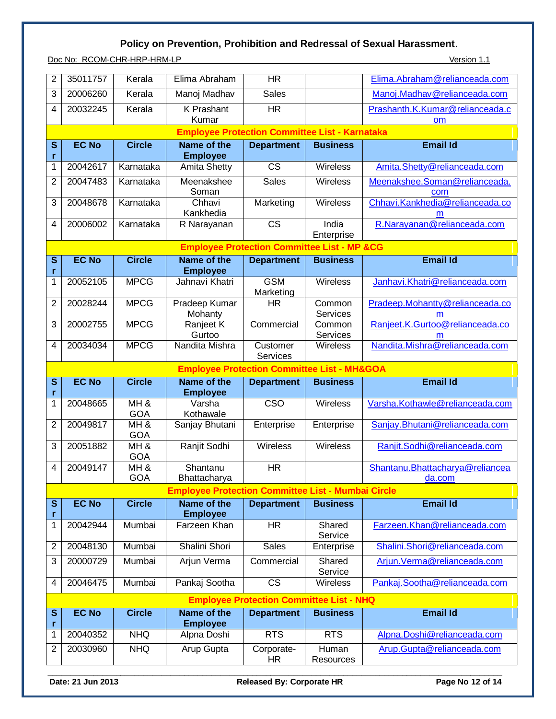Doc No: RCOM-CHR-HRP-HRM-LP Version 1.1

| $\overline{2}$          | 35011757                                                                                                                                                         | Kerala            | Elima Abraham                                                             | <b>HR</b>                                       |                     | Elima.Abraham@relianceada.com              |  |  |
|-------------------------|------------------------------------------------------------------------------------------------------------------------------------------------------------------|-------------------|---------------------------------------------------------------------------|-------------------------------------------------|---------------------|--------------------------------------------|--|--|
| 3                       | 20006260                                                                                                                                                         | Kerala            | Manoj Madhav                                                              | <b>Sales</b>                                    |                     | Manoj.Madhav@relianceada.com               |  |  |
| 4                       | 20032245                                                                                                                                                         | Kerala            | <b>K</b> Prashant                                                         | <b>HR</b>                                       |                     | Prashanth.K.Kumar@relianceada.c            |  |  |
|                         | Kumar<br>om                                                                                                                                                      |                   |                                                                           |                                                 |                     |                                            |  |  |
| $\mathbf{s}$            | <b>Employee Protection Committee List - Karnataka</b><br><b>EC No</b><br><b>Circle</b><br><b>Email Id</b><br>Name of the<br><b>Department</b><br><b>Business</b> |                   |                                                                           |                                                 |                     |                                            |  |  |
| r                       |                                                                                                                                                                  |                   | <b>Employee</b>                                                           |                                                 |                     |                                            |  |  |
| $\mathbf{1}$            | 20042617                                                                                                                                                         | Karnataka         | <b>Amita Shetty</b>                                                       | <b>CS</b>                                       | <b>Wireless</b>     | Amita.Shetty@relianceada.com               |  |  |
| $\overline{2}$          | 20047483                                                                                                                                                         | Karnataka         | Meenakshee<br>Soman                                                       | <b>Sales</b>                                    | Wireless            | Meenakshee.Soman@relianceada.<br>com       |  |  |
| $\overline{3}$          | 20048678                                                                                                                                                         | Karnataka         | Chhavi<br>Kankhedia                                                       | Marketing                                       | Wireless            | Chhavi.Kankhedia@relianceada.co<br>m       |  |  |
| 4                       | 20006002                                                                                                                                                         | Karnataka         | R Narayanan                                                               | <b>CS</b>                                       | India<br>Enterprise | R.Narayanan@relianceada.com                |  |  |
|                         |                                                                                                                                                                  |                   | <b>Employee Protection Committee List - MP &amp;CG</b>                    |                                                 |                     |                                            |  |  |
| $\overline{\mathbf{s}}$ | <b>EC No</b>                                                                                                                                                     | <b>Circle</b>     | <b>Name of the</b>                                                        | <b>Department</b>                               | <b>Business</b>     | <b>Email Id</b>                            |  |  |
| r<br>1                  | 20052105                                                                                                                                                         | <b>MPCG</b>       | <b>Employee</b><br>Jahnavi Khatri                                         | <b>GSM</b>                                      | Wireless            | Janhavi.Khatri@relianceada.com             |  |  |
|                         |                                                                                                                                                                  |                   |                                                                           | Marketing                                       |                     |                                            |  |  |
| $\overline{2}$          | 20028244                                                                                                                                                         | <b>MPCG</b>       | Pradeep Kumar                                                             | HR                                              | Common              | Pradeep.Mohantty@relianceada.co            |  |  |
| 3                       | 20002755                                                                                                                                                         | <b>MPCG</b>       | Mohanty<br>Ranjeet K                                                      | Commercial                                      | Services<br>Common  | m<br>Ranjeet.K.Gurtoo@relianceada.co       |  |  |
|                         |                                                                                                                                                                  |                   | Gurtoo                                                                    |                                                 | Services            | m                                          |  |  |
| 4                       | 20034034                                                                                                                                                         | <b>MPCG</b>       | Nandita Mishra                                                            | Customer<br><b>Services</b>                     | Wireless            | Nandita.Mishra@relianceada.com             |  |  |
|                         | <b>Employee Protection Committee List - MH&amp;GOA</b>                                                                                                           |                   |                                                                           |                                                 |                     |                                            |  |  |
|                         |                                                                                                                                                                  |                   |                                                                           |                                                 |                     |                                            |  |  |
| $\overline{\mathbf{s}}$ | <b>EC No</b>                                                                                                                                                     | <b>Circle</b>     | Name of the                                                               | <b>Department</b>                               | <b>Business</b>     | <b>Email Id</b>                            |  |  |
| r<br>1                  | 20048665                                                                                                                                                         | MH&               | <b>Employee</b><br>Varsha                                                 | $\overline{\text{CSO}}$                         | <b>Wireless</b>     | Varsha.Kothawle@relianceada.com            |  |  |
| $\overline{2}$          | 20049817                                                                                                                                                         | GOA<br>MH&        | Kothawale<br>Sanjay Bhutani                                               | Enterprise                                      | Enterprise          | Sanjay.Bhutani@relianceada.com             |  |  |
| 3                       | 20051882                                                                                                                                                         | <b>GOA</b><br>MH& | Ranjit Sodhi                                                              | Wireless                                        | <b>Wireless</b>     | Ranjit.Sodhi@relianceada.com               |  |  |
| 4                       | 20049147                                                                                                                                                         | GOA<br>MH&        | Shantanu                                                                  | <b>HR</b>                                       |                     | Shantanu. Bhattacharya@reliancea<br>da.com |  |  |
|                         |                                                                                                                                                                  | GOA               | Bhattacharya<br><b>Employee Protection Committee List - Mumbai Circle</b> |                                                 |                     |                                            |  |  |
| S<br>r                  | <b>EC No</b>                                                                                                                                                     | <b>Circle</b>     | Name of the<br><b>Employee</b>                                            | <b>Department</b>                               | <b>Business</b>     | <b>Email Id</b>                            |  |  |
| 1                       | 20042944                                                                                                                                                         | Mumbai            | Farzeen Khan                                                              | <b>HR</b>                                       | Shared<br>Service   | Farzeen.Khan@relianceada.com               |  |  |
| $\overline{2}$          | 20048130                                                                                                                                                         | Mumbai            | Shalini Shori                                                             | Sales                                           | Enterprise          | Shalini.Shori@relianceada.com              |  |  |
| 3                       | 20000729                                                                                                                                                         | Mumbai            | Arjun Verma                                                               | Commercial                                      | Shared<br>Service   | Arjun.Verma@relianceada.com                |  |  |
| 4                       | 20046475                                                                                                                                                         | Mumbai            | Pankaj Sootha                                                             | $\overline{\text{CS}}$                          | Wireless            | Pankaj.Sootha@relianceada.com              |  |  |
|                         |                                                                                                                                                                  |                   |                                                                           | <b>Employee Protection Committee List - NHQ</b> |                     |                                            |  |  |
| ${\bf S}$               | <b>EC No</b>                                                                                                                                                     | <b>Circle</b>     | Name of the                                                               | <b>Department</b>                               | <b>Business</b>     | <b>Email Id</b>                            |  |  |
| r<br>1                  | 20040352                                                                                                                                                         | <b>NHQ</b>        | <b>Employee</b>                                                           | <b>RTS</b>                                      | <b>RTS</b>          | Alpna.Doshi@relianceada.com                |  |  |
| 2                       | 20030960                                                                                                                                                         | <b>NHQ</b>        | Alpna Doshi<br>Arup Gupta                                                 | Corporate-<br><b>HR</b>                         | Human<br>Resources  | Arup.Gupta@relianceada.com                 |  |  |

**Date: 21 Jun 2013** Released By: Corporate HR Page No 12 of 14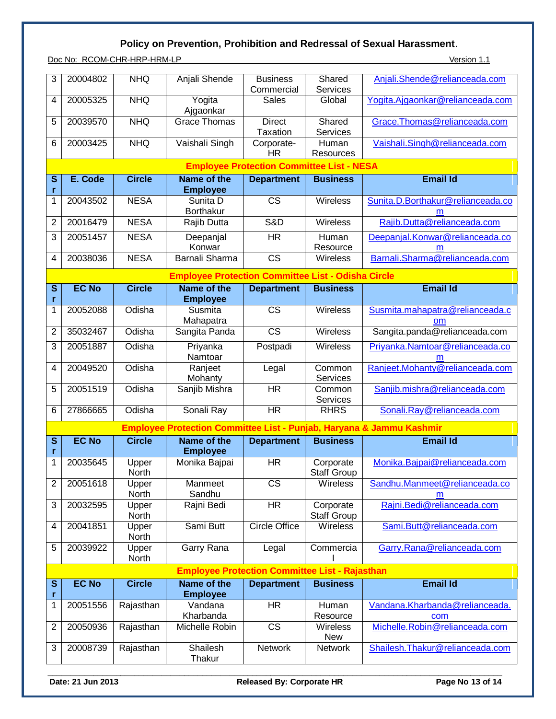Doc No: RCOM-CHR-HRP-HRM-LP Version 1.1

| 3                       | 20004802                                              | <b>NHQ</b>            | Anjali Shende                                             | <b>Business</b><br>Commercial                    | Shared<br>Services              | Anjali.Shende@relianceada.com                                        |  |  |
|-------------------------|-------------------------------------------------------|-----------------------|-----------------------------------------------------------|--------------------------------------------------|---------------------------------|----------------------------------------------------------------------|--|--|
| 4                       | 20005325                                              | <b>NHQ</b>            | Yogita<br>Ajgaonkar                                       | <b>Sales</b>                                     | Global                          | Yogita.Ajgaonkar@relianceada.com                                     |  |  |
| 5                       | 20039570                                              | <b>NHQ</b>            | <b>Grace Thomas</b>                                       | <b>Direct</b><br><b>Taxation</b>                 | Shared<br>Services              | Grace.Thomas@relianceada.com                                         |  |  |
| 6                       | 20003425                                              | <b>NHQ</b>            | Vaishali Singh                                            | Corporate-<br><b>HR</b>                          | Human<br>Resources              | Vaishali.Singh@relianceada.com                                       |  |  |
|                         |                                                       |                       |                                                           | <b>Employee Protection Committee List - NESA</b> |                                 |                                                                      |  |  |
| $\mathbf s$<br>r        | E. Code                                               | <b>Circle</b>         | Name of the<br><b>Employee</b>                            | <b>Department</b>                                | <b>Business</b>                 | <b>Email Id</b>                                                      |  |  |
| 1                       | 20043502                                              | <b>NESA</b>           | Sunita D<br><b>Borthakur</b>                              | $\overline{\text{CS}}$                           | Wireless                        | Sunita.D.Borthakur@relianceada.co<br>m                               |  |  |
| $\overline{2}$          | 20016479                                              | <b>NESA</b>           | Rajib Dutta                                               | S&D                                              | Wireless                        | Rajib.Dutta@relianceada.com                                          |  |  |
| 3                       | 20051457                                              | <b>NESA</b>           | Deepanjal<br>Konwar                                       | <b>HR</b>                                        | <b>Human</b><br>Resource        | Deepanjal.Konwar@relianceada.co<br>m                                 |  |  |
| 4                       | 20038036                                              | <b>NESA</b>           | <b>Barnali Sharma</b>                                     | $\overline{\text{CS}}$                           | Wireless                        | Barnali.Sharma@relianceada.com                                       |  |  |
|                         |                                                       |                       | <b>Employee Protection Committee List - Odisha Circle</b> |                                                  |                                 |                                                                      |  |  |
| $\overline{\mathbf{s}}$ | <b>EC No</b>                                          | <b>Circle</b>         | <b>Name of the</b>                                        | <b>Department</b>                                | <b>Business</b>                 | <b>Email Id</b>                                                      |  |  |
| r                       |                                                       |                       | <b>Employee</b>                                           |                                                  |                                 |                                                                      |  |  |
| 1                       | 20052088                                              | Odisha                | Susmita<br>Mahapatra                                      | $\overline{\text{CS}}$                           | Wireless                        | Susmita.mahapatra@relianceada.c<br>om                                |  |  |
| $\overline{2}$          | 35032467                                              | Odisha                | Sangita Panda                                             | $\overline{\text{CS}}$                           | <b>Wireless</b>                 | Sangita.panda@relianceada.com                                        |  |  |
| 3                       | 20051887                                              | Odisha                | Priyanka<br>Namtoar                                       | Postpadi                                         | Wireless                        | Priyanka.Namtoar@relianceada.co<br>m                                 |  |  |
| 4                       | 20049520                                              | Odisha                | Ranjeet<br>Mohanty                                        | Legal                                            | Common<br>Services              | Ranjeet.Mohanty@relianceada.com                                      |  |  |
| 5                       | 20051519                                              | Odisha                | Sanjib Mishra                                             | <b>HR</b>                                        | Common<br>Services              | Sanjib.mishra@relianceada.com                                        |  |  |
| 6                       | 27866665                                              | Odisha                | Sonali Ray                                                | <b>HR</b>                                        | <b>RHRS</b>                     | Sonali.Ray@relianceada.com                                           |  |  |
|                         |                                                       |                       |                                                           |                                                  |                                 | Employee Protection Committee List - Punjab, Haryana & Jammu Kashmir |  |  |
| $\mathbf s$<br>r        | <b>EC No</b>                                          | <b>Circle</b>         | Name of the<br><b>Employee</b>                            | <b>Department</b>                                | <b>Business</b>                 | <b>Email Id</b>                                                      |  |  |
| $\overline{1}$          | 20035645                                              | Upper                 | Monika Bajpai                                             | <b>HR</b>                                        | Corporate                       | Monika.Bajpai@relianceada.com                                        |  |  |
| $\overline{2}$          | 20051618                                              | <b>North</b><br>Upper | Manmeet                                                   | <b>CS</b>                                        | <b>Staff Group</b><br>Wireless  | Sandhu.Manmeet@relianceada.co                                        |  |  |
|                         |                                                       | North                 | Sandhu                                                    |                                                  |                                 | m                                                                    |  |  |
| 3                       | 20032595                                              | Upper<br>North        | Rajni Bedi                                                | <b>HR</b>                                        | Corporate<br><b>Staff Group</b> | Rajni.Bedi@relianceada.com                                           |  |  |
| 4                       | 20041851                                              | Upper<br>North        | Sami Butt                                                 | <b>Circle Office</b>                             | Wireless                        | Sami.Butt@relianceada.com                                            |  |  |
| 5                       | 20039922                                              | Upper<br>North        | Garry Rana                                                | Legal                                            | Commercia                       | Garry.Rana@relianceada.com                                           |  |  |
|                         | <b>Employee Protection Committee List - Rajasthan</b> |                       |                                                           |                                                  |                                 |                                                                      |  |  |
| ${\mathbb S}$<br>r      | <b>EC No</b>                                          | <b>Circle</b>         | Name of the<br><b>Employee</b>                            | <b>Department</b>                                | <b>Business</b>                 | <b>Email Id</b>                                                      |  |  |
| 1                       | 20051556                                              | Rajasthan             | Vandana<br>Kharbanda                                      | <b>HR</b>                                        | Human<br>Resource               | Vandana.Kharbanda@relianceada.                                       |  |  |
| 2                       | 20050936                                              | Rajasthan             | Michelle Robin                                            | $\overline{\text{CS}}$                           | Wireless<br><b>New</b>          | com<br>Michelle.Robin@relianceada.com                                |  |  |
| 3                       | 20008739                                              | Rajasthan             | Shailesh<br>Thakur                                        | Network                                          | <b>Network</b>                  | Shailesh.Thakur@relianceada.com                                      |  |  |

Date: 21 Jun 2013 Released By: Corporate HR Page No 13 of 14